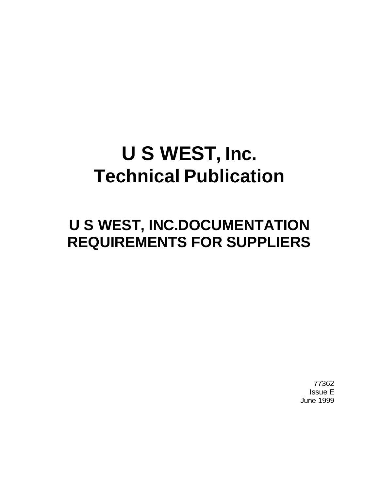# **U S WEST, Inc. Technical Publication**

## **U S WEST, INC.DOCUMENTATION REQUIREMENTS FOR SUPPLIERS**

77362 Issue E June 1999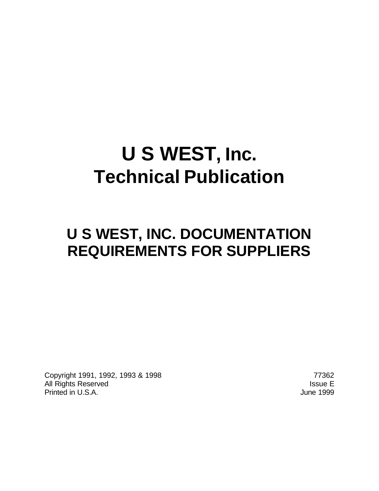# **U S WEST, Inc. Technical Publication**

## **U S WEST, INC. DOCUMENTATION REQUIREMENTS FOR SUPPLIERS**

Copyright 1991, 1992, 1993 & 1998 77362 All Rights Reserved **Issue E** Printed in U.S.A. **June 1999**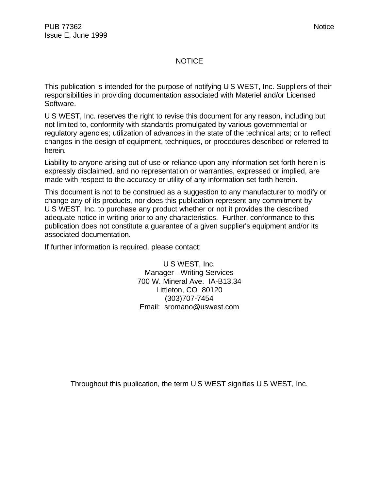#### NOTICE

This publication is intended for the purpose of notifying U S WEST, Inc. Suppliers of their responsibilities in providing documentation associated with Materiel and/or Licensed Software.

U S WEST, Inc. reserves the right to revise this document for any reason, including but not limited to, conformity with standards promulgated by various governmental or regulatory agencies; utilization of advances in the state of the technical arts; or to reflect changes in the design of equipment, techniques, or procedures described or referred to herein.

Liability to anyone arising out of use or reliance upon any information set forth herein is expressly disclaimed, and no representation or warranties, expressed or implied, are made with respect to the accuracy or utility of any information set forth herein.

This document is not to be construed as a suggestion to any manufacturer to modify or change any of its products, nor does this publication represent any commitment by U S WEST, Inc. to purchase any product whether or not it provides the described adequate notice in writing prior to any characteristics. Further, conformance to this publication does not constitute a guarantee of a given supplier's equipment and/or its associated documentation.

If further information is required, please contact:

U S WEST, Inc. Manager - Writing Services 700 W. Mineral Ave. IA-B13.34 Littleton, CO 80120 (303)707-7454 Email: sromano@uswest.com

Throughout this publication, the term U S WEST signifies U S WEST, Inc.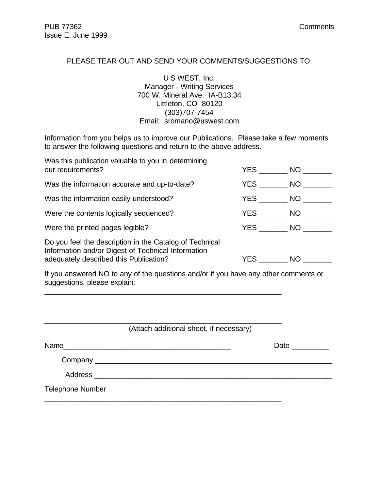#### PLEASE TEAR OUT AND SEND YOUR COMMENTS/SUGGESTIONS TO:

U S WEST, Inc. Manager - Writing Services 700 W. Mineral Ave. IA-B13.34 Littleton, CO 80120 (303)707-7454 Email: sromano@uswest.com

Information from you helps us to improve our Publications. Please take a few moments to answer the following questions and return to the above address.

| Was this publication valuable to you in determining<br>our requirements?                                                                                | <b>YES</b> | NO  |
|---------------------------------------------------------------------------------------------------------------------------------------------------------|------------|-----|
| Was the information accurate and up-to-date?                                                                                                            | YES        | NO. |
| Was the information easily understood?                                                                                                                  | YES NO     |     |
| Were the contents logically sequenced?                                                                                                                  | <b>YES</b> | NO  |
| Were the printed pages legible?                                                                                                                         | <b>YES</b> | NO  |
| Do you feel the description in the Catalog of Technical<br>Information and/or Digest of Technical Information<br>adequately described this Publication? | YES.       | NO. |

If you answered NO to any of the questions and/or if you have any other comments or suggestions, please explain:

\_\_\_\_\_\_\_\_\_\_\_\_\_\_\_\_\_\_\_\_\_\_\_\_\_\_\_\_\_\_\_\_\_\_\_\_\_\_\_\_\_\_\_\_\_\_\_\_\_\_\_\_\_\_\_\_\_\_

\_\_\_\_\_\_\_\_\_\_\_\_\_\_\_\_\_\_\_\_\_\_\_\_\_\_\_\_\_\_\_\_\_\_\_\_\_\_\_\_\_\_\_\_\_\_\_\_\_\_\_\_\_\_\_\_\_\_

\_\_\_\_\_\_\_\_\_\_\_\_\_\_\_\_\_\_\_\_\_\_\_\_\_\_\_\_\_\_\_\_\_\_\_\_\_\_\_\_\_\_\_\_\_\_\_\_\_\_\_\_\_\_\_\_\_\_

\_\_\_\_\_\_\_\_\_\_\_\_\_\_\_\_\_\_\_\_\_\_\_\_\_\_\_\_\_\_\_\_\_\_\_\_\_\_\_\_\_\_\_\_\_\_\_\_\_\_\_\_\_\_\_\_\_\_

(Attach additional sheet, if necessary)

| Name                                                                                                                                                                                                                           | Date |
|--------------------------------------------------------------------------------------------------------------------------------------------------------------------------------------------------------------------------------|------|
|                                                                                                                                                                                                                                |      |
| Address and the contract of the contract of the contract of the contract of the contract of the contract of the contract of the contract of the contract of the contract of the contract of the contract of the contract of th |      |
| <b>Telephone Number</b>                                                                                                                                                                                                        |      |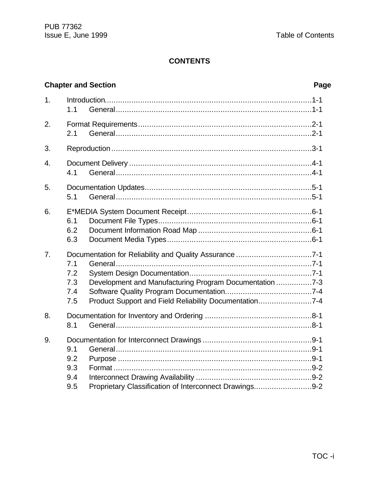#### **CONTENTS**

|    |                                 | <b>Chapter and Section</b>                                                                                        | Page |
|----|---------------------------------|-------------------------------------------------------------------------------------------------------------------|------|
| 1. | 1.1                             |                                                                                                                   |      |
| 2. | 2.1                             |                                                                                                                   |      |
| 3. |                                 |                                                                                                                   |      |
| 4. | 4.1                             |                                                                                                                   |      |
| 5. | 5.1                             |                                                                                                                   |      |
| 6. | 6.1<br>6.2<br>6.3               |                                                                                                                   |      |
| 7. | 7.1<br>7.2<br>7.3<br>7.4<br>7.5 | Development and Manufacturing Program Documentation 7-3<br>Product Support and Field Reliability Documentation7-4 |      |
| 8. | 8.1                             |                                                                                                                   |      |
| 9. | 9.1<br>9.2<br>9.3<br>9.4<br>9.5 | Proprietary Classification of Interconnect Drawings9-2                                                            |      |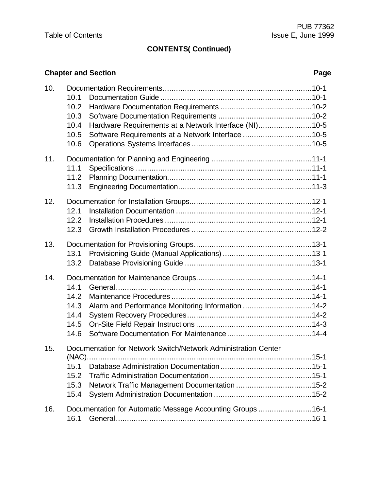### **CONTENTS( Continued)**

#### **Chapter and Section** *Page*

| 10. | 10.1<br>10.2<br>10.3<br>10.4<br>10.5<br>10.6 | Hardware Requirements at a Network Interface (NI)10-5<br>Software Requirements at a Network Interface 10-5      |  |
|-----|----------------------------------------------|-----------------------------------------------------------------------------------------------------------------|--|
| 11. | 11.1<br>11.2<br>11.3                         |                                                                                                                 |  |
| 12. | 12.1<br>12.2<br>12.3                         |                                                                                                                 |  |
| 13. | 13.1<br>13.2                                 |                                                                                                                 |  |
| 14. | 14.1<br>14.2<br>14.3<br>14.4<br>14.5<br>14.6 | Alarm and Performance Monitoring Information 14-2                                                               |  |
| 15. | 15.1<br>15.2<br>15.3<br>15.4                 | Documentation for Network Switch/Network Administration Center<br>Network Traffic Management Documentation 15-2 |  |
| 16. | 16.1                                         | Documentation for Automatic Message Accounting Groups 16-1                                                      |  |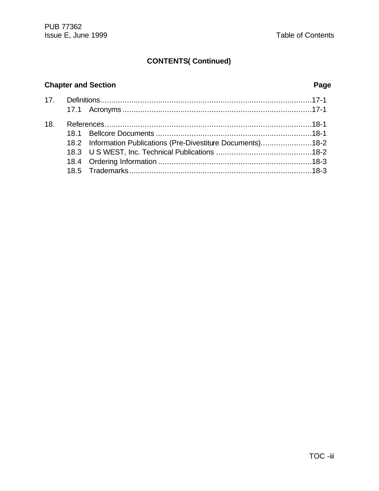### **CONTENTS( Continued)**

#### **Chapter and Section** *Page*

| 18. |                                                               |  |
|-----|---------------------------------------------------------------|--|
|     |                                                               |  |
|     | 18.2 Information Publications (Pre-Divestiture Documents)18-2 |  |
|     |                                                               |  |
|     |                                                               |  |
|     |                                                               |  |
|     |                                                               |  |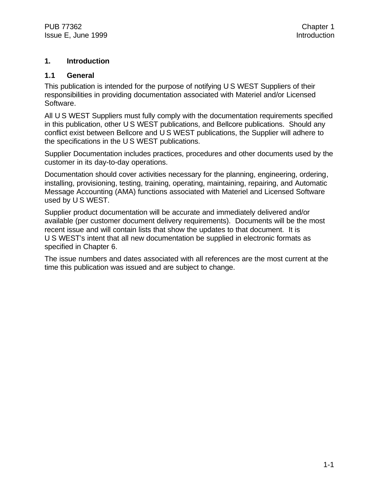#### **1. Introduction**

#### **1.1 General**

This publication is intended for the purpose of notifying U S WEST Suppliers of their responsibilities in providing documentation associated with Materiel and/or Licensed Software.

All U S WEST Suppliers must fully comply with the documentation requirements specified in this publication, other U S WEST publications, and Bellcore publications. Should any conflict exist between Bellcore and U S WEST publications, the Supplier will adhere to the specifications in the U S WEST publications.

Supplier Documentation includes practices, procedures and other documents used by the customer in its day-to-day operations.

Documentation should cover activities necessary for the planning, engineering, ordering, installing, provisioning, testing, training, operating, maintaining, repairing, and Automatic Message Accounting (AMA) functions associated with Materiel and Licensed Software used by U S WEST.

Supplier product documentation will be accurate and immediately delivered and/or available (per customer document delivery requirements). Documents will be the most recent issue and will contain lists that show the updates to that document. It is U S WEST's intent that all new documentation be supplied in electronic formats as specified in Chapter 6.

The issue numbers and dates associated with all references are the most current at the time this publication was issued and are subject to change.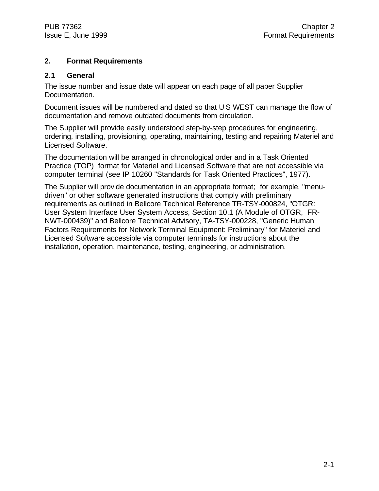#### **2. Format Requirements**

#### **2.1 General**

The issue number and issue date will appear on each page of all paper Supplier Documentation.

Document issues will be numbered and dated so that U S WEST can manage the flow of documentation and remove outdated documents from circulation.

The Supplier will provide easily understood step-by-step procedures for engineering, ordering, installing, provisioning, operating, maintaining, testing and repairing Materiel and Licensed Software.

The documentation will be arranged in chronological order and in a Task Oriented Practice (TOP) format for Materiel and Licensed Software that are not accessible via computer terminal (see IP 10260 "Standards for Task Oriented Practices", 1977).

The Supplier will provide documentation in an appropriate format; for example, "menudriven" or other software generated instructions that comply with preliminary requirements as outlined in Bellcore Technical Reference TR-TSY-000824, "OTGR: User System Interface User System Access, Section 10.1 (A Module of OTGR, FR-NWT-000439)" and Bellcore Technical Advisory, TA-TSY-000228, "Generic Human Factors Requirements for Network Terminal Equipment: Preliminary" for Materiel and Licensed Software accessible via computer terminals for instructions about the installation, operation, maintenance, testing, engineering, or administration.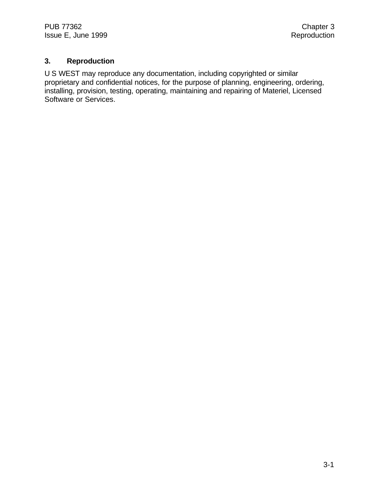#### **3. Reproduction**

U S WEST may reproduce any documentation, including copyrighted or similar proprietary and confidential notices, for the purpose of planning, engineering, ordering, installing, provision, testing, operating, maintaining and repairing of Materiel, Licensed Software or Services.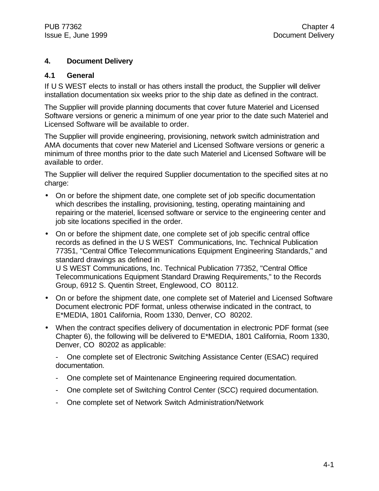#### **4. Document Delivery**

#### **4.1 General**

If U S WEST elects to install or has others install the product, the Supplier will deliver installation documentation six weeks prior to the ship date as defined in the contract.

The Supplier will provide planning documents that cover future Materiel and Licensed Software versions or generic a minimum of one year prior to the date such Materiel and Licensed Software will be available to order.

The Supplier will provide engineering, provisioning, network switch administration and AMA documents that cover new Materiel and Licensed Software versions or generic a minimum of three months prior to the date such Materiel and Licensed Software will be available to order.

The Supplier will deliver the required Supplier documentation to the specified sites at no charge:

- On or before the shipment date, one complete set of job specific documentation which describes the installing, provisioning, testing, operating maintaining and repairing or the materiel, licensed software or service to the engineering center and job site locations specified in the order.
- On or before the shipment date, one complete set of job specific central office records as defined in the U S WEST Communications, Inc. Technical Publication 77351, "Central Office Telecommunications Equipment Engineering Standards," and standard drawings as defined in U S WEST Communications, Inc. Technical Publication 77352, "Central Office

Telecommunications Equipment Standard Drawing Requirements," to the Records Group, 6912 S. Quentin Street, Englewood, CO 80112.

- On or before the shipment date, one complete set of Materiel and Licensed Software Document electronic PDF format, unless otherwise indicated in the contract, to E\*MEDIA, 1801 California, Room 1330, Denver, CO 80202.
- When the contract specifies delivery of documentation in electronic PDF format (see Chapter 6), the following will be delivered to E\*MEDIA, 1801 California, Room 1330, Denver, CO 80202 as applicable:

- One complete set of Electronic Switching Assistance Center (ESAC) required documentation.

- One complete set of Maintenance Engineering required documentation.
- One complete set of Switching Control Center (SCC) required documentation.
- One complete set of Network Switch Administration/Network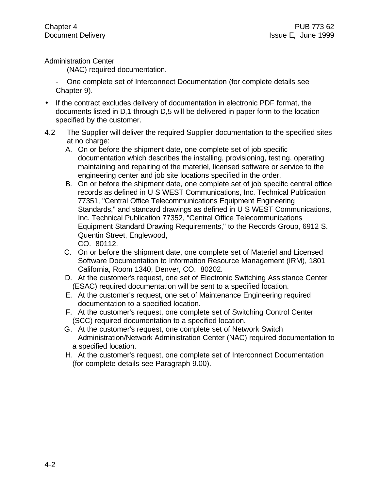Administration Center

(NAC) required documentation.

- One complete set of Interconnect Documentation (for complete details see Chapter 9).

- If the contract excludes delivery of documentation in electronic PDF format, the documents listed in D,1 through D,5 will be delivered in paper form to the location specified by the customer.
- 4.2 The Supplier will deliver the required Supplier documentation to the specified sites at no charge:
	- A. On or before the shipment date, one complete set of job specific documentation which describes the installing, provisioning, testing, operating maintaining and repairing of the materiel, licensed software or service to the engineering center and job site locations specified in the order.
	- B. On or before the shipment date, one complete set of job specific central office records as defined in U S WEST Communications, Inc. Technical Publication 77351, "Central Office Telecommunications Equipment Engineering Standards," and standard drawings as defined in U S WEST Communications, Inc. Technical Publication 77352, "Central Office Telecommunications Equipment Standard Drawing Requirements," to the Records Group, 6912 S. Quentin Street, Englewood, CO. 80112.
	- C. On or before the shipment date, one complete set of Materiel and Licensed Software Documentation to Information Resource Management (IRM), 1801 California, Room 1340, Denver, CO. 80202.
	- D. At the customer's request, one set of Electronic Switching Assistance Center (ESAC) required documentation will be sent to a specified location.
	- E. At the customer's request, one set of Maintenance Engineering required documentation to a specified location.
	- F. At the customer's request, one complete set of Switching Control Center (SCC) required documentation to a specified location.
	- G. At the customer's request, one complete set of Network Switch Administration/Network Administration Center (NAC) required documentation to a specified location.
	- H. At the customer's request, one complete set of Interconnect Documentation (for complete details see Paragraph 9.00).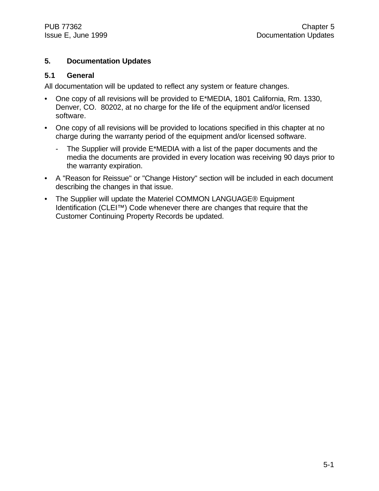#### **5. Documentation Updates**

#### **5.1 General**

All documentation will be updated to reflect any system or feature changes.

- One copy of all revisions will be provided to E\*MEDIA, 1801 California, Rm. 1330, Denver, CO. 80202, at no charge for the life of the equipment and/or licensed software.
- One copy of all revisions will be provided to locations specified in this chapter at no charge during the warranty period of the equipment and/or licensed software.
	- The Supplier will provide E\*MEDIA with a list of the paper documents and the media the documents are provided in every location was receiving 90 days prior to the warranty expiration.
- A "Reason for Reissue" or "Change History" section will be included in each document describing the changes in that issue.
- The Supplier will update the Materiel COMMON LANGUAGE® Equipment Identification (CLEI™) Code whenever there are changes that require that the Customer Continuing Property Records be updated.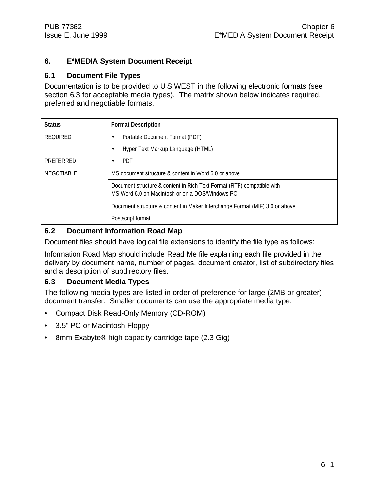#### **6. E\*MEDIA System Document Receipt**

#### **6.1 Document File Types**

Documentation is to be provided to U S WEST in the following electronic formats (see section 6.3 for acceptable media types). The matrix shown below indicates required, preferred and negotiable formats.

| <b>Status</b>     | <b>Format Description</b>                                                                                                 |  |
|-------------------|---------------------------------------------------------------------------------------------------------------------------|--|
| <b>REQUIRED</b>   | Portable Document Format (PDF)                                                                                            |  |
|                   | Hyper Text Markup Language (HTML)                                                                                         |  |
| PREFERRED         | <b>PDF</b>                                                                                                                |  |
| <b>NEGOTIABLE</b> | MS document structure & content in Word 6.0 or above                                                                      |  |
|                   | Document structure & content in Rich Text Format (RTF) compatible with<br>MS Word 6.0 on Macintosh or on a DOS/Windows PC |  |
|                   | Document structure & content in Maker Interchange Format (MIF) 3.0 or above                                               |  |
|                   | Postscript format                                                                                                         |  |

#### **6.2 Document Information Road Map**

Document files should have logical file extensions to identify the file type as follows:

Information Road Map should include Read Me file explaining each file provided in the delivery by document name, number of pages, document creator, list of subdirectory files and a description of subdirectory files.

#### **6.3 Document Media Types**

The following media types are listed in order of preference for large (2MB or greater) document transfer. Smaller documents can use the appropriate media type.

- Compact Disk Read-Only Memory (CD-ROM)
- 3.5" PC or Macintosh Floppy
- 8mm Exabyte® high capacity cartridge tape (2.3 Gig)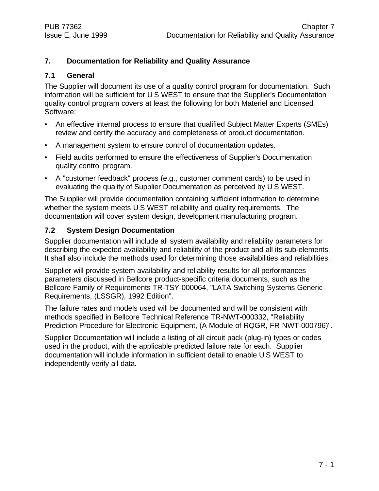#### **7. Documentation for Reliability and Quality Assurance**

#### **7.1 General**

The Supplier will document its use of a quality control program for documentation. Such information will be sufficient for U S WEST to ensure that the Supplier's Documentation quality control program covers at least the following for both Materiel and Licensed Software:

- An effective internal process to ensure that qualified Subject Matter Experts (SMEs) review and certify the accuracy and completeness of product documentation.
- A management system to ensure control of documentation updates.
- Field audits performed to ensure the effectiveness of Supplier's Documentation quality control program.
- A "customer feedback" process (e.g., customer comment cards) to be used in evaluating the quality of Supplier Documentation as perceived by U S WEST.

The Supplier will provide documentation containing sufficient information to determine whether the system meets U S WEST reliability and quality requirements. The documentation will cover system design, development manufacturing program.

#### **7.2 System Design Documentation**

Supplier documentation will include all system availability and reliability parameters for describing the expected availability and reliability of the product and all its sub-elements. It shall also include the methods used for determining those availabilities and reliabilities.

Supplier will provide system availability and reliability results for all performances parameters discussed in Bellcore product-specific criteria documents, such as the Bellcore Family of Requirements TR-TSY-000064, "LATA Switching Systems Generic Requirements, (LSSGR), 1992 Edition".

The failure rates and models used will be documented and will be consistent with methods specified in Bellcore Technical Reference TR-NWT-000332, "Reliability Prediction Procedure for Electronic Equipment, (A Module of RQGR, FR-NWT-000796)".

Supplier Documentation will include a listing of all circuit pack (plug-in) types or codes used in the product, with the applicable predicted failure rate for each. Supplier documentation will include information in sufficient detail to enable U S WEST to independently verify all data.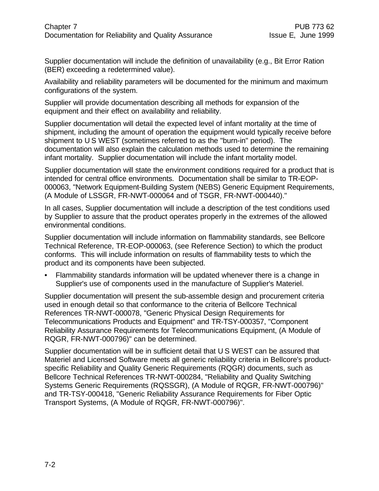Supplier documentation will include the definition of unavailability (e.g., Bit Error Ration (BER) exceeding a redetermined value).

Availability and reliability parameters will be documented for the minimum and maximum configurations of the system.

Supplier will provide documentation describing all methods for expansion of the equipment and their effect on availability and reliability.

Supplier documentation will detail the expected level of infant mortality at the time of shipment, including the amount of operation the equipment would typically receive before shipment to U S WEST (sometimes referred to as the "burn-in" period). The documentation will also explain the calculation methods used to determine the remaining infant mortality. Supplier documentation will include the infant mortality model.

Supplier documentation will state the environment conditions required for a product that is intended for central office environments. Documentation shall be similar to TR-EOP-000063, "Network Equipment-Building System (NEBS) Generic Equipment Requirements, (A Module of LSSGR, FR-NWT-000064 and of TSGR, FR-NWT-000440)."

In all cases, Supplier documentation will include a description of the test conditions used by Supplier to assure that the product operates properly in the extremes of the allowed environmental conditions.

Supplier documentation will include information on flammability standards, see Bellcore Technical Reference, TR-EOP-000063, (see Reference Section) to which the product conforms. This will include information on results of flammability tests to which the product and its components have been subjected.

• Flammability standards information will be updated whenever there is a change in Supplier's use of components used in the manufacture of Supplier's Materiel.

Supplier documentation will present the sub-assemble design and procurement criteria used in enough detail so that conformance to the criteria of Bellcore Technical References TR-NWT-000078, "Generic Physical Design Requirements for Telecommunications Products and Equipment" and TR-TSY-000357, "Component Reliability Assurance Requirements for Telecommunications Equipment, (A Module of RQGR, FR-NWT-000796)" can be determined.

Supplier documentation will be in sufficient detail that U S WEST can be assured that Materiel and Licensed Software meets all generic reliability criteria in Bellcore's productspecific Reliability and Quality Generic Requirements (RQGR) documents, such as Bellcore Technical References TR-NWT-000284, "Reliability and Quality Switching Systems Generic Requirements (RQSSGR), (A Module of RQGR, FR-NWT-000796)" and TR-TSY-000418, "Generic Reliability Assurance Requirements for Fiber Optic Transport Systems, (A Module of RQGR, FR-NWT-000796)".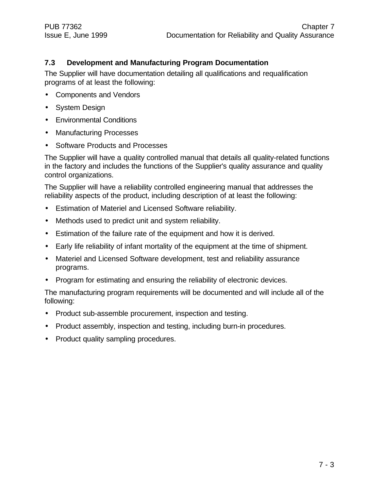#### **7.3 Development and Manufacturing Program Documentation**

The Supplier will have documentation detailing all qualifications and requalification programs of at least the following:

- Components and Vendors
- System Design
- Environmental Conditions
- Manufacturing Processes
- Software Products and Processes

The Supplier will have a quality controlled manual that details all quality-related functions in the factory and includes the functions of the Supplier's quality assurance and quality control organizations.

The Supplier will have a reliability controlled engineering manual that addresses the reliability aspects of the product, including description of at least the following:

- Estimation of Materiel and Licensed Software reliability.
- Methods used to predict unit and system reliability.
- Estimation of the failure rate of the equipment and how it is derived.
- Early life reliability of infant mortality of the equipment at the time of shipment.
- Materiel and Licensed Software development, test and reliability assurance programs.
- Program for estimating and ensuring the reliability of electronic devices.

The manufacturing program requirements will be documented and will include all of the following:

- Product sub-assemble procurement, inspection and testing.
- Product assembly, inspection and testing, including burn-in procedures.
- Product quality sampling procedures.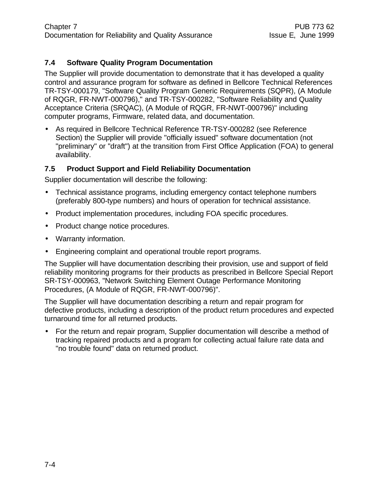#### **7.4 Software Quality Program Documentation**

The Supplier will provide documentation to demonstrate that it has developed a quality control and assurance program for software as defined in Bellcore Technical References TR-TSY-000179, "Software Quality Program Generic Requirements (SQPR), (A Module of RQGR, FR-NWT-000796)," and TR-TSY-000282, "Software Reliability and Quality Acceptance Criteria (SRQAC), (A Module of RQGR, FR-NWT-000796)" including computer programs, Firmware, related data, and documentation.

• As required in Bellcore Technical Reference TR-TSY-000282 (see Reference Section) the Supplier will provide "officially issued" software documentation (not "preliminary" or "draft") at the transition from First Office Application (FOA) to general availability.

#### **7.5 Product Support and Field Reliability Documentation**

Supplier documentation will describe the following:

- Technical assistance programs, including emergency contact telephone numbers (preferably 800-type numbers) and hours of operation for technical assistance.
- Product implementation procedures, including FOA specific procedures.
- Product change notice procedures.
- Warranty information.
- Engineering complaint and operational trouble report programs.

The Supplier will have documentation describing their provision, use and support of field reliability monitoring programs for their products as prescribed in Bellcore Special Report SR-TSY-000963, "Network Switching Element Outage Performance Monitoring Procedures, (A Module of RQGR, FR-NWT-000796)".

The Supplier will have documentation describing a return and repair program for defective products, including a description of the product return procedures and expected turnaround time for all returned products.

• For the return and repair program, Supplier documentation will describe a method of tracking repaired products and a program for collecting actual failure rate data and "no trouble found" data on returned product.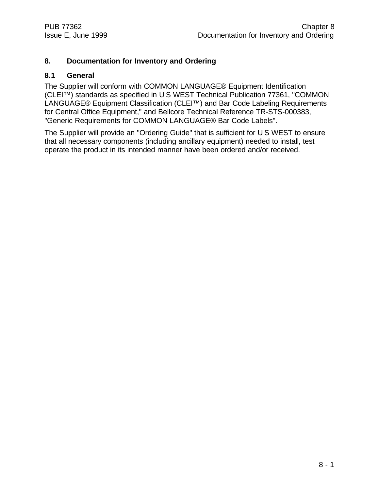#### **8. Documentation for Inventory and Ordering**

#### **8.1 General**

The Supplier will conform with COMMON LANGUAGE® Equipment Identification (CLEI™) standards as specified in U S WEST Technical Publication 77361, "COMMON LANGUAGE® Equipment Classification (CLEI™) and Bar Code Labeling Requirements for Central Office Equipment," and Bellcore Technical Reference TR-STS-000383, "Generic Requirements for COMMON LANGUAGE® Bar Code Labels".

The Supplier will provide an "Ordering Guide" that is sufficient for U S WEST to ensure that all necessary components (including ancillary equipment) needed to install, test operate the product in its intended manner have been ordered and/or received.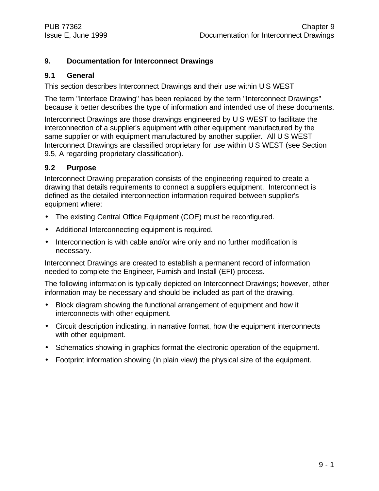#### **9. Documentation for Interconnect Drawings**

#### **9.1 General**

This section describes Interconnect Drawings and their use within U S WEST

The term "Interface Drawing" has been replaced by the term "Interconnect Drawings" because it better describes the type of information and intended use of these documents.

Interconnect Drawings are those drawings engineered by U S WEST to facilitate the interconnection of a supplier's equipment with other equipment manufactured by the same supplier or with equipment manufactured by another supplier. All U S WEST Interconnect Drawings are classified proprietary for use within U S WEST (see Section 9.5, A regarding proprietary classification).

#### **9.2 Purpose**

Interconnect Drawing preparation consists of the engineering required to create a drawing that details requirements to connect a suppliers equipment. Interconnect is defined as the detailed interconnection information required between supplier's equipment where:

- The existing Central Office Equipment (COE) must be reconfigured.
- Additional Interconnecting equipment is required.
- Interconnection is with cable and/or wire only and no further modification is necessary.

Interconnect Drawings are created to establish a permanent record of information needed to complete the Engineer, Furnish and Install (EFI) process.

The following information is typically depicted on Interconnect Drawings; however, other information may be necessary and should be included as part of the drawing.

- Block diagram showing the functional arrangement of equipment and how it interconnects with other equipment.
- Circuit description indicating, in narrative format, how the equipment interconnects with other equipment.
- Schematics showing in graphics format the electronic operation of the equipment.
- Footprint information showing (in plain view) the physical size of the equipment.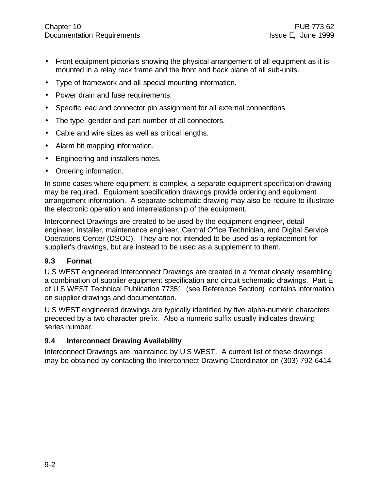- Front equipment pictorials showing the physical arrangement of all equipment as it is mounted in a relay rack frame and the front and back plane of all sub-units.
- Type of framework and all special mounting information.
- Power drain and fuse requirements.
- Specific lead and connector pin assignment for all external connections.
- The type, gender and part number of all connectors.
- Cable and wire sizes as well as critical lengths.
- Alarm bit mapping information.
- Engineering and installers notes.
- Ordering information.

In some cases where equipment is complex, a separate equipment specification drawing may be required. Equipment specification drawings provide ordering and equipment arrangement information. A separate schematic drawing may also be require to illustrate the electronic operation and interrelationship of the equipment.

Interconnect Drawings are created to be used by the equipment engineer, detail engineer, installer, maintenance engineer, Central Office Technician, and Digital Service Operations Center (DSOC). They are not intended to be used as a replacement for supplier's drawings, but are instead to be used as a supplement to them.

#### **9.3 Format**

U S WEST engineered Interconnect Drawings are created in a format closely resembling a combination of supplier equipment specification and circuit schematic drawings. Part E of U S WEST Technical Publication 77351, (see Reference Section) contains information on supplier drawings and documentation.

U S WEST engineered drawings are typically identified by five alpha-numeric characters preceded by a two character prefix. Also a numeric suffix usually indicates drawing series number.

#### **9.4 Interconnect Drawing Availability**

Interconnect Drawings are maintained by U S WEST. A current list of these drawings may be obtained by contacting the Interconnect Drawing Coordinator on (303) 792-6414.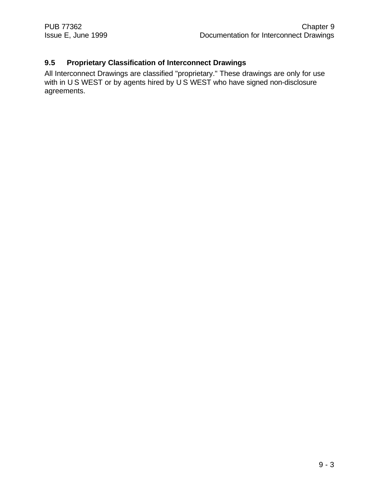#### **9.5 Proprietary Classification of Interconnect Drawings**

All Interconnect Drawings are classified "proprietary." These drawings are only for use with in U S WEST or by agents hired by U S WEST who have signed non-disclosure agreements.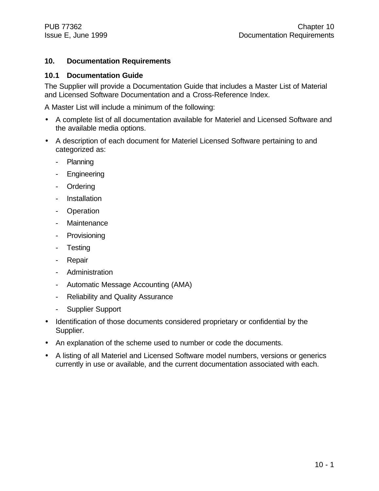#### **10. Documentation Requirements**

#### **10.1 Documentation Guide**

The Supplier will provide a Documentation Guide that includes a Master List of Material and Licensed Software Documentation and a Cross-Reference Index.

A Master List will include a minimum of the following:

- A complete list of all documentation available for Materiel and Licensed Software and the available media options.
- A description of each document for Materiel Licensed Software pertaining to and categorized as:
	- Planning
	- Engineering
	- Ordering
	- Installation
	- Operation
	- Maintenance
	- Provisioning
	- Testing
	- Repair
	- Administration
	- Automatic Message Accounting (AMA)
	- Reliability and Quality Assurance
	- Supplier Support
- Identification of those documents considered proprietary or confidential by the Supplier.
- An explanation of the scheme used to number or code the documents.
- A listing of all Materiel and Licensed Software model numbers, versions or generics currently in use or available, and the current documentation associated with each.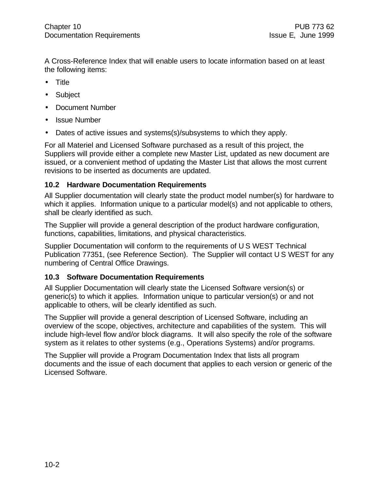A Cross-Reference Index that will enable users to locate information based on at least the following items:

- Title
- Subject
- Document Number
- Issue Number
- Dates of active issues and systems(s)/subsystems to which they apply.

For all Materiel and Licensed Software purchased as a result of this project, the Suppliers will provide either a complete new Master List, updated as new document are issued, or a convenient method of updating the Master List that allows the most current revisions to be inserted as documents are updated.

#### **10.2 Hardware Documentation Requirements**

All Supplier documentation will clearly state the product model number(s) for hardware to which it applies. Information unique to a particular model(s) and not applicable to others, shall be clearly identified as such.

The Supplier will provide a general description of the product hardware configuration, functions, capabilities, limitations, and physical characteristics.

Supplier Documentation will conform to the requirements of U S WEST Technical Publication 77351, (see Reference Section). The Supplier will contact U S WEST for any numbering of Central Office Drawings.

#### **10.3 Software Documentation Requirements**

All Supplier Documentation will clearly state the Licensed Software version(s) or generic(s) to which it applies. Information unique to particular version(s) or and not applicable to others, will be clearly identified as such.

The Supplier will provide a general description of Licensed Software, including an overview of the scope, objectives, architecture and capabilities of the system. This will include high-level flow and/or block diagrams. It will also specify the role of the software system as it relates to other systems (e.g., Operations Systems) and/or programs.

The Supplier will provide a Program Documentation Index that lists all program documents and the issue of each document that applies to each version or generic of the Licensed Software.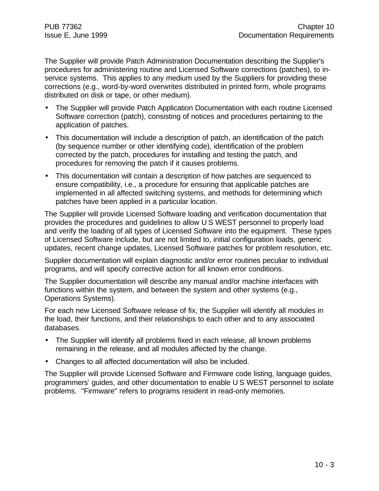The Supplier will provide Patch Administration Documentation describing the Supplier's procedures for administering routine and Licensed Software corrections (patches), to inservice systems. This applies to any medium used by the Suppliers for providing these corrections (e.g., word-by-word overwrites distributed in printed form, whole programs distributed on disk or tape, or other medium).

- The Supplier will provide Patch Application Documentation with each routine Licensed Software correction (patch), consisting of notices and procedures pertaining to the application of patches.
- This documentation will include a description of patch, an identification of the patch (by sequence number or other identifying code), identification of the problem corrected by the patch, procedures for installing and testing the patch, and procedures for removing the patch if it causes problems.
- This documentation will contain a description of how patches are sequenced to ensure compatibility, i.e., a procedure for ensuring that applicable patches are implemented in all affected switching systems, and methods for determining which patches have been applied in a particular location.

The Supplier will provide Licensed Software loading and verification documentation that provides the procedures and guidelines to allow U S WEST personnel to properly load and verify the loading of all types of Licensed Software into the equipment. These types of Licensed Software include, but are not limited to, initial configuration loads, generic updates, recent change updates, Licensed Software patches for problem resolution, etc.

Supplier documentation will explain diagnostic and/or error routines peculiar to individual programs, and will specify corrective action for all known error conditions.

The Supplier documentation will describe any manual and/or machine interfaces with functions within the system, and between the system and other systems (e.g., Operations Systems).

For each new Licensed Software release of fix, the Supplier will identify all modules in the load, their functions, and their relationships to each other and to any associated databases.

- The Supplier will identify all problems fixed in each release, all known problems remaining in the release, and all modules affected by the change.
- Changes to all affected documentation will also be included.

The Supplier will provide Licensed Software and Firmware code listing, language guides, programmers' guides, and other documentation to enable U S WEST personnel to isolate problems. "Firmware" refers to programs resident in read-only memories.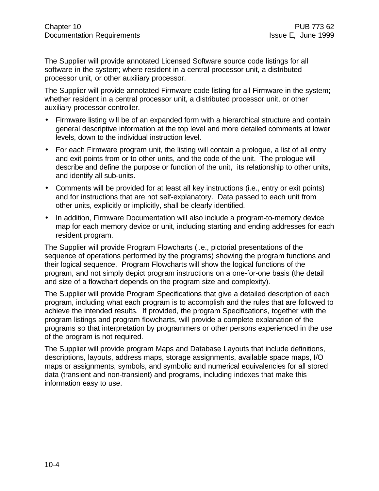The Supplier will provide annotated Licensed Software source code listings for all software in the system; where resident in a central processor unit, a distributed processor unit, or other auxiliary processor.

The Supplier will provide annotated Firmware code listing for all Firmware in the system; whether resident in a central processor unit, a distributed processor unit, or other auxiliary processor controller.

- Firmware listing will be of an expanded form with a hierarchical structure and contain general descriptive information at the top level and more detailed comments at lower levels, down to the individual instruction level.
- For each Firmware program unit, the listing will contain a prologue, a list of all entry and exit points from or to other units, and the code of the unit. The prologue will describe and define the purpose or function of the unit, its relationship to other units, and identify all sub-units.
- Comments will be provided for at least all key instructions (i.e., entry or exit points) and for instructions that are not self-explanatory. Data passed to each unit from other units, explicitly or implicitly, shall be clearly identified.
- In addition, Firmware Documentation will also include a program-to-memory device map for each memory device or unit, including starting and ending addresses for each resident program.

The Supplier will provide Program Flowcharts (i.e., pictorial presentations of the sequence of operations performed by the programs) showing the program functions and their logical sequence. Program Flowcharts will show the logical functions of the program, and not simply depict program instructions on a one-for-one basis (the detail and size of a flowchart depends on the program size and complexity).

The Supplier will provide Program Specifications that give a detailed description of each program, including what each program is to accomplish and the rules that are followed to achieve the intended results. If provided, the program Specifications, together with the program listings and program flowcharts, will provide a complete explanation of the programs so that interpretation by programmers or other persons experienced in the use of the program is not required.

The Supplier will provide program Maps and Database Layouts that include definitions, descriptions, layouts, address maps, storage assignments, available space maps, I/O maps or assignments, symbols, and symbolic and numerical equivalencies for all stored data (transient and non-transient) and programs, including indexes that make this information easy to use.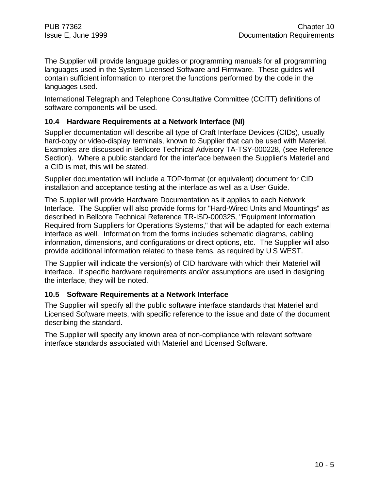The Supplier will provide language guides or programming manuals for all programming languages used in the System Licensed Software and Firmware. These guides will contain sufficient information to interpret the functions performed by the code in the languages used.

International Telegraph and Telephone Consultative Committee (CCITT) definitions of software components will be used.

#### **10.4 Hardware Requirements at a Network Interface (NI)**

Supplier documentation will describe all type of Craft Interface Devices (CIDs), usually hard-copy or video-display terminals, known to Supplier that can be used with Materiel. Examples are discussed in Bellcore Technical Advisory TA-TSY-000228, (see Reference Section). Where a public standard for the interface between the Supplier's Materiel and a CID is met, this will be stated.

Supplier documentation will include a TOP-format (or equivalent) document for CID installation and acceptance testing at the interface as well as a User Guide.

The Supplier will provide Hardware Documentation as it applies to each Network Interface. The Supplier will also provide forms for "Hard-Wired Units and Mountings" as described in Bellcore Technical Reference TR-ISD-000325, "Equipment Information Required from Suppliers for Operations Systems," that will be adapted for each external interface as well. Information from the forms includes schematic diagrams, cabling information, dimensions, and configurations or direct options, etc. The Supplier will also provide additional information related to these items, as required by U S WEST.

The Supplier will indicate the version(s) of CID hardware with which their Materiel will interface. If specific hardware requirements and/or assumptions are used in designing the interface, they will be noted.

#### **10.5 Software Requirements at a Network Interface**

The Supplier will specify all the public software interface standards that Materiel and Licensed Software meets, with specific reference to the issue and date of the document describing the standard.

The Supplier will specify any known area of non-compliance with relevant software interface standards associated with Materiel and Licensed Software.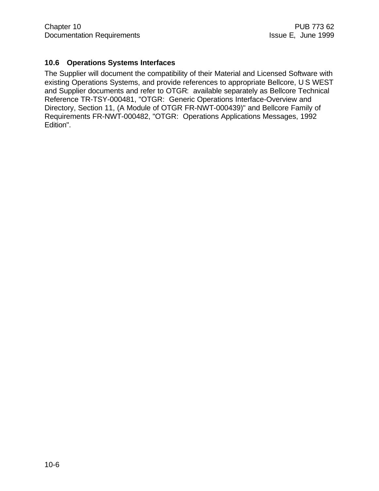#### **10.6 Operations Systems Interfaces**

The Supplier will document the compatibility of their Material and Licensed Software with existing Operations Systems, and provide references to appropriate Bellcore, U S WEST and Supplier documents and refer to OTGR: available separately as Bellcore Technical Reference TR-TSY-000481, "OTGR: Generic Operations Interface-Overview and Directory, Section 11, (A Module of OTGR FR-NWT-000439)" and Bellcore Family of Requirements FR-NWT-000482, "OTGR: Operations Applications Messages, 1992 Edition".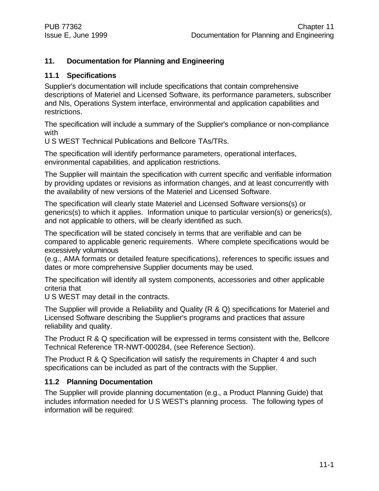#### **11. Documentation for Planning and Engineering**

#### **11.1 Specifications**

Supplier's documentation will include specifications that contain comprehensive descriptions of Materiel and Licensed Software, its performance parameters, subscriber and NIs, Operations System interface, environmental and application capabilities and restrictions.

The specification will include a summary of the Supplier's compliance or non-compliance with

U S WEST Technical Publications and Bellcore TAs/TRs.

The specification will identify performance parameters, operational interfaces, environmental capabilities, and application restrictions.

The Supplier will maintain the specification with current specific and verifiable information by providing updates or revisions as information changes, and at least concurrently with the availability of new versions of the Materiel and Licensed Software.

The specification will clearly state Materiel and Licensed Software versions(s) or generics(s) to which it applies. Information unique to particular version(s) or generics(s), and not applicable to others, will be clearly identified as such.

The specification will be stated concisely in terms that are verifiable and can be compared to applicable generic requirements. Where complete specifications would be excessively voluminous

(e.g., AMA formats or detailed feature specifications), references to specific issues and dates or more comprehensive Supplier documents may be used.

The specification will identify all system components, accessories and other applicable criteria that

U S WEST may detail in the contracts.

The Supplier will provide a Reliability and Quality (R & Q) specifications for Materiel and Licensed Software describing the Supplier's programs and practices that assure reliability and quality.

The Product R & Q specification will be expressed in terms consistent with the, Bellcore Technical Reference TR-NWT-000284, (see Reference Section).

The Product R & Q Specification will satisfy the requirements in Chapter 4 and such specifications can be included as part of the contracts with the Supplier.

#### **11.2 Planning Documentation**

The Supplier will provide planning documentation (e.g., a Product Planning Guide) that includes information needed for U S WEST's planning process. The following types of information will be required: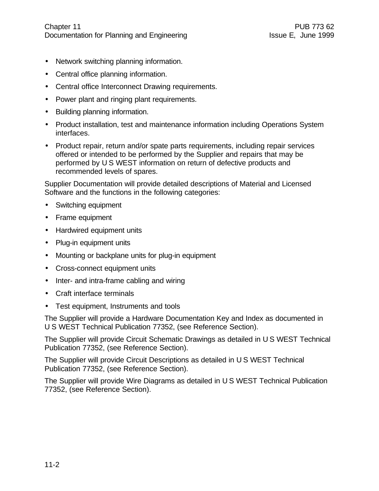- Network switching planning information.
- Central office planning information.
- Central office Interconnect Drawing requirements.
- Power plant and ringing plant requirements.
- Building planning information.
- Product installation, test and maintenance information including Operations System interfaces.
- Product repair, return and/or spate parts requirements, including repair services offered or intended to be performed by the Supplier and repairs that may be performed by U S WEST information on return of defective products and recommended levels of spares.

Supplier Documentation will provide detailed descriptions of Material and Licensed Software and the functions in the following categories:

- Switching equipment
- Frame equipment
- Hardwired equipment units
- Plug-in equipment units
- Mounting or backplane units for plug-in equipment
- Cross-connect equipment units
- Inter- and intra-frame cabling and wiring
- Craft interface terminals
- Test equipment, Instruments and tools

The Supplier will provide a Hardware Documentation Key and Index as documented in U S WEST Technical Publication 77352, (see Reference Section).

The Supplier will provide Circuit Schematic Drawings as detailed in U S WEST Technical Publication 77352, (see Reference Section).

The Supplier will provide Circuit Descriptions as detailed in U S WEST Technical Publication 77352, (see Reference Section).

The Supplier will provide Wire Diagrams as detailed in U S WEST Technical Publication 77352, (see Reference Section).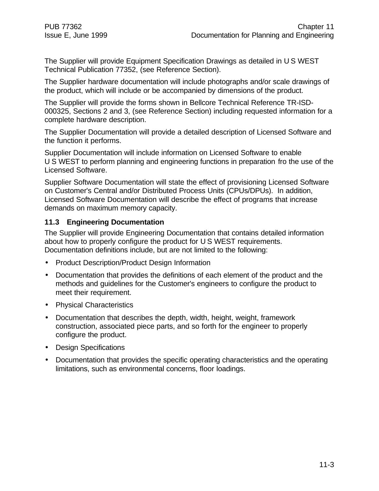The Supplier will provide Equipment Specification Drawings as detailed in U S WEST Technical Publication 77352, (see Reference Section).

The Supplier hardware documentation will include photographs and/or scale drawings of the product, which will include or be accompanied by dimensions of the product.

The Supplier will provide the forms shown in Bellcore Technical Reference TR-ISD-000325, Sections 2 and 3, (see Reference Section) including requested information for a complete hardware description.

The Supplier Documentation will provide a detailed description of Licensed Software and the function it performs.

Supplier Documentation will include information on Licensed Software to enable U S WEST to perform planning and engineering functions in preparation fro the use of the Licensed Software.

Supplier Software Documentation will state the effect of provisioning Licensed Software on Customer's Central and/or Distributed Process Units (CPUs/DPUs). In addition, Licensed Software Documentation will describe the effect of programs that increase demands on maximum memory capacity.

#### **11.3 Engineering Documentation**

The Supplier will provide Engineering Documentation that contains detailed information about how to properly configure the product for U S WEST requirements. Documentation definitions include, but are not limited to the following:

- Product Description/Product Design Information
- Documentation that provides the definitions of each element of the product and the methods and guidelines for the Customer's engineers to configure the product to meet their requirement.
- Physical Characteristics
- Documentation that describes the depth, width, height, weight, framework construction, associated piece parts, and so forth for the engineer to properly configure the product.
- Design Specifications
- Documentation that provides the specific operating characteristics and the operating limitations, such as environmental concerns, floor loadings.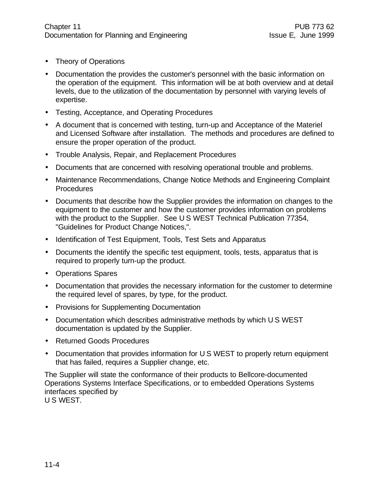- Theory of Operations
- Documentation the provides the customer's personnel with the basic information on the operation of the equipment. This information will be at both overview and at detail levels, due to the utilization of the documentation by personnel with varying levels of expertise.
- Testing, Acceptance, and Operating Procedures
- A document that is concerned with testing, turn-up and Acceptance of the Materiel and Licensed Software after installation. The methods and procedures are defined to ensure the proper operation of the product.
- Trouble Analysis, Repair, and Replacement Procedures
- Documents that are concerned with resolving operational trouble and problems.
- Maintenance Recommendations, Change Notice Methods and Engineering Complaint **Procedures**
- Documents that describe how the Supplier provides the information on changes to the equipment to the customer and how the customer provides information on problems with the product to the Supplier. See U S WEST Technical Publication 77354, "Guidelines for Product Change Notices,".
- Identification of Test Equipment, Tools, Test Sets and Apparatus
- Documents the identify the specific test equipment, tools, tests, apparatus that is required to properly turn-up the product.
- Operations Spares
- Documentation that provides the necessary information for the customer to determine the required level of spares, by type, for the product.
- Provisions for Supplementing Documentation
- Documentation which describes administrative methods by which U S WEST documentation is updated by the Supplier.
- Returned Goods Procedures
- Documentation that provides information for U S WEST to properly return equipment that has failed, requires a Supplier change, etc.

The Supplier will state the conformance of their products to Bellcore-documented Operations Systems Interface Specifications, or to embedded Operations Systems interfaces specified by

U S WEST.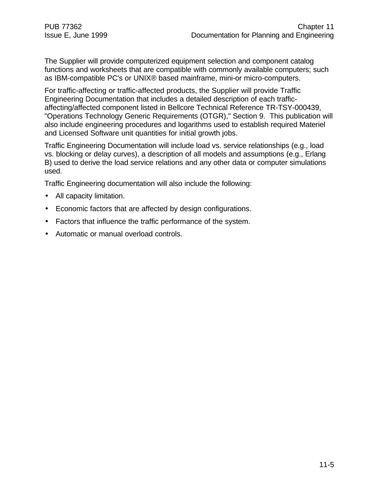The Supplier will provide computerized equipment selection and component catalog functions and worksheets that are compatible with commonly available computers; such as IBM-compatible PC's or UNIX® based mainframe, mini-or micro-computers.

For traffic-affecting or traffic-affected products, the Supplier will provide Traffic Engineering Documentation that includes a detailed description of each trafficaffecting/affected component listed in Bellcore Technical Reference TR-TSY-000439, "Operations Technology Generic Requirements (OTGR)," Section 9. This publication will also include engineering procedures and logarithms used to establish required Materiel and Licensed Software unit quantities for initial growth jobs.

Traffic Engineering Documentation will include load vs. service relationships (e.g., load vs. blocking or delay curves), a description of all models and assumptions (e.g., Erlang B) used to derive the load service relations and any other data or computer simulations used.

Traffic Engineering documentation will also include the following:

- All capacity limitation.
- Economic factors that are affected by design configurations.
- Factors that influence the traffic performance of the system.
- Automatic or manual overload controls.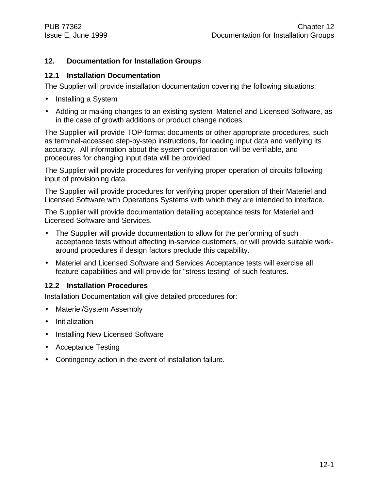#### **12. Documentation for Installation Groups**

#### **12.1 Installation Documentation**

The Supplier will provide installation documentation covering the following situations:

- Installing a System
- Adding or making changes to an existing system; Materiel and Licensed Software, as in the case of growth additions or product change notices.

The Supplier will provide TOP-format documents or other appropriate procedures, such as terminal-accessed step-by-step instructions, for loading input data and verifying its accuracy. All information about the system configuration will be verifiable, and procedures for changing input data will be provided.

The Supplier will provide procedures for verifying proper operation of circuits following input of provisioning data.

The Supplier will provide procedures for verifying proper operation of their Materiel and Licensed Software with Operations Systems with which they are intended to interface.

The Supplier will provide documentation detailing acceptance tests for Materiel and Licensed Software and Services.

- The Supplier will provide documentation to allow for the performing of such acceptance tests without affecting in-service customers, or will provide suitable workaround procedures if design factors preclude this capability.
- Materiel and Licensed Software and Services Acceptance tests will exercise all feature capabilities and will provide for "stress testing" of such features.

#### **12.2 Installation Procedures**

Installation Documentation will give detailed procedures for:

- Materiel/System Assembly
- Initialization
- Installing New Licensed Software
- Acceptance Testing
- Contingency action in the event of installation failure.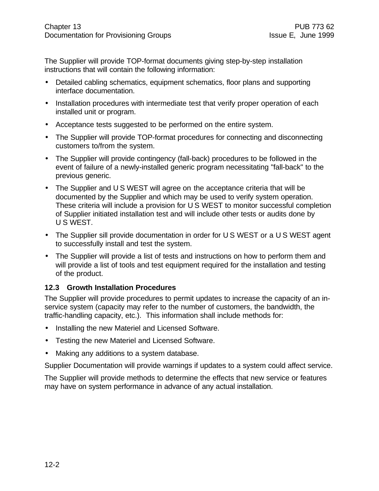The Supplier will provide TOP-format documents giving step-by-step installation instructions that will contain the following information:

- Detailed cabling schematics, equipment schematics, floor plans and supporting interface documentation.
- Installation procedures with intermediate test that verify proper operation of each installed unit or program.
- Acceptance tests suggested to be performed on the entire system.
- The Supplier will provide TOP-format procedures for connecting and disconnecting customers to/from the system.
- The Supplier will provide contingency (fall-back) procedures to be followed in the event of failure of a newly-installed generic program necessitating "fall-back" to the previous generic.
- The Supplier and U S WEST will agree on the acceptance criteria that will be documented by the Supplier and which may be used to verify system operation. These criteria will include a provision for U S WEST to monitor successful completion of Supplier initiated installation test and will include other tests or audits done by U S WEST.
- The Supplier sill provide documentation in order for U S WEST or a U S WEST agent to successfully install and test the system.
- The Supplier will provide a list of tests and instructions on how to perform them and will provide a list of tools and test equipment required for the installation and testing of the product.

#### **12.3 Growth Installation Procedures**

The Supplier will provide procedures to permit updates to increase the capacity of an inservice system (capacity may refer to the number of customers, the bandwidth, the traffic-handling capacity, etc.). This information shall include methods for:

- Installing the new Materiel and Licensed Software.
- Testing the new Materiel and Licensed Software.
- Making any additions to a system database.

Supplier Documentation will provide warnings if updates to a system could affect service.

The Supplier will provide methods to determine the effects that new service or features may have on system performance in advance of any actual installation.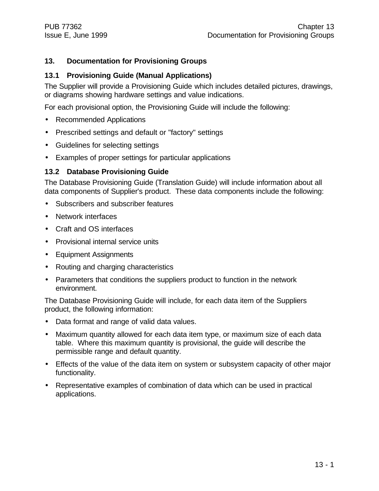#### **13. Documentation for Provisioning Groups**

#### **13.1 Provisioning Guide (Manual Applications)**

The Supplier will provide a Provisioning Guide which includes detailed pictures, drawings, or diagrams showing hardware settings and value indications.

For each provisional option, the Provisioning Guide will include the following:

- Recommended Applications
- Prescribed settings and default or "factory" settings
- Guidelines for selecting settings
- Examples of proper settings for particular applications

#### **13.2 Database Provisioning Guide**

The Database Provisioning Guide (Translation Guide) will include information about all data components of Supplier's product. These data components include the following:

- Subscribers and subscriber features
- Network interfaces
- Craft and OS interfaces
- Provisional internal service units
- Equipment Assignments
- Routing and charging characteristics
- Parameters that conditions the suppliers product to function in the network environment.

The Database Provisioning Guide will include, for each data item of the Suppliers product, the following information:

- Data format and range of valid data values.
- Maximum quantity allowed for each data item type, or maximum size of each data table. Where this maximum quantity is provisional, the guide will describe the permissible range and default quantity.
- Effects of the value of the data item on system or subsystem capacity of other major functionality.
- Representative examples of combination of data which can be used in practical applications.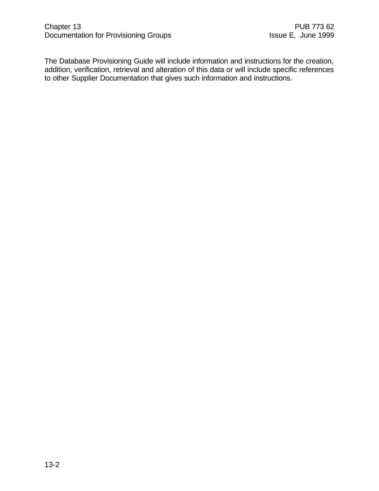The Database Provisioning Guide will include information and instructions for the creation, addition, verification, retrieval and alteration of this data or will include specific references to other Supplier Documentation that gives such information and instructions.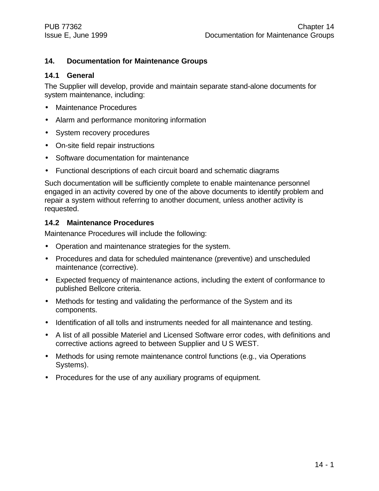#### **14. Documentation for Maintenance Groups**

#### **14.1 General**

The Supplier will develop, provide and maintain separate stand-alone documents for system maintenance, including:

- Maintenance Procedures
- Alarm and performance monitoring information
- System recovery procedures
- On-site field repair instructions
- Software documentation for maintenance
- Functional descriptions of each circuit board and schematic diagrams

Such documentation will be sufficiently complete to enable maintenance personnel engaged in an activity covered by one of the above documents to identify problem and repair a system without referring to another document, unless another activity is requested.

#### **14.2 Maintenance Procedures**

Maintenance Procedures will include the following:

- Operation and maintenance strategies for the system.
- Procedures and data for scheduled maintenance (preventive) and unscheduled maintenance (corrective).
- Expected frequency of maintenance actions, including the extent of conformance to published Bellcore criteria.
- Methods for testing and validating the performance of the System and its components.
- Identification of all tolls and instruments needed for all maintenance and testing.
- A list of all possible Materiel and Licensed Software error codes, with definitions and corrective actions agreed to between Supplier and U S WEST.
- Methods for using remote maintenance control functions (e.g., via Operations Systems).
- Procedures for the use of any auxiliary programs of equipment.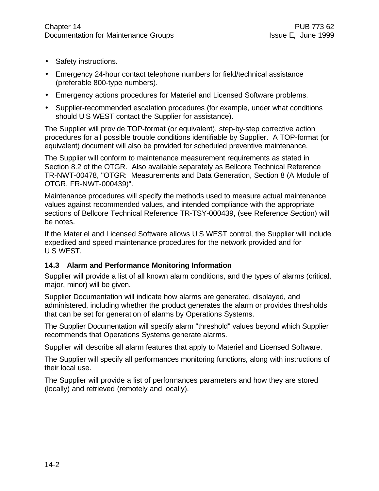- Safety instructions.
- Emergency 24-hour contact telephone numbers for field/technical assistance (preferable 800-type numbers).
- Emergency actions procedures for Materiel and Licensed Software problems.
- Supplier-recommended escalation procedures (for example, under what conditions should U S WEST contact the Supplier for assistance).

The Supplier will provide TOP-format (or equivalent), step-by-step corrective action procedures for all possible trouble conditions identifiable by Supplier. A TOP-format (or equivalent) document will also be provided for scheduled preventive maintenance.

The Supplier will conform to maintenance measurement requirements as stated in Section 8.2 of the OTGR. Also available separately as Bellcore Technical Reference TR-NWT-00478, "OTGR: Measurements and Data Generation, Section 8 (A Module of OTGR, FR-NWT-000439)".

Maintenance procedures will specify the methods used to measure actual maintenance values against recommended values, and intended compliance with the appropriate sections of Bellcore Technical Reference TR-TSY-000439, (see Reference Section) will be notes.

If the Materiel and Licensed Software allows U S WEST control, the Supplier will include expedited and speed maintenance procedures for the network provided and for U S WEST.

#### **14.3 Alarm and Performance Monitoring Information**

Supplier will provide a list of all known alarm conditions, and the types of alarms (critical, major, minor) will be given.

Supplier Documentation will indicate how alarms are generated, displayed, and administered, including whether the product generates the alarm or provides thresholds that can be set for generation of alarms by Operations Systems.

The Supplier Documentation will specify alarm "threshold" values beyond which Supplier recommends that Operations Systems generate alarms.

Supplier will describe all alarm features that apply to Materiel and Licensed Software.

The Supplier will specify all performances monitoring functions, along with instructions of their local use.

The Supplier will provide a list of performances parameters and how they are stored (locally) and retrieved (remotely and locally).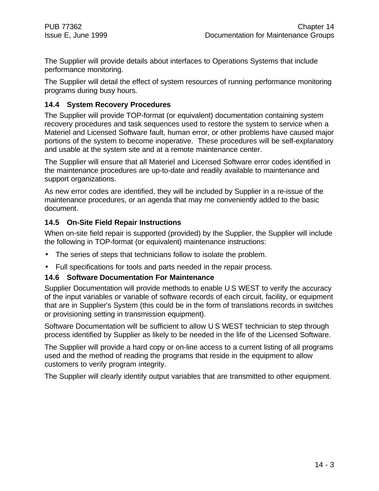The Supplier will provide details about interfaces to Operations Systems that include performance monitoring.

The Supplier will detail the effect of system resources of running performance monitoring programs during busy hours.

#### **14.4 System Recovery Procedures**

The Supplier will provide TOP-format (or equivalent) documentation containing system recovery procedures and task sequences used to restore the system to service when a Materiel and Licensed Software fault, human error, or other problems have caused major portions of the system to become inoperative. These procedures will be self-explanatory and usable at the system site and at a remote maintenance center.

The Supplier will ensure that all Materiel and Licensed Software error codes identified in the maintenance procedures are up-to-date and readily available to maintenance and support organizations.

As new error codes are identified, they will be included by Supplier in a re-issue of the maintenance procedures, or an agenda that may me conveniently added to the basic document.

#### **14.5 On-Site Field Repair Instructions**

When on-site field repair is supported (provided) by the Supplier, the Supplier will include the following in TOP-format (or equivalent) maintenance instructions:

- The series of steps that technicians follow to isolate the problem.
- Full specifications for tools and parts needed in the repair process.

#### **14.6 Software Documentation For Maintenance**

Supplier Documentation will provide methods to enable U S WEST to verify the accuracy of the input variables or variable of software records of each circuit, facility, or equipment that are in Supplier's System (this could be in the form of translations records in switches or provisioning setting in transmission equipment).

Software Documentation will be sufficient to allow U S WEST technician to step through process identified by Supplier as likely to be needed in the life of the Licensed Software.

The Supplier will provide a hard copy or on-line access to a current listing of all programs used and the method of reading the programs that reside in the equipment to allow customers to verify program integrity.

The Supplier will clearly identify output variables that are transmitted to other equipment.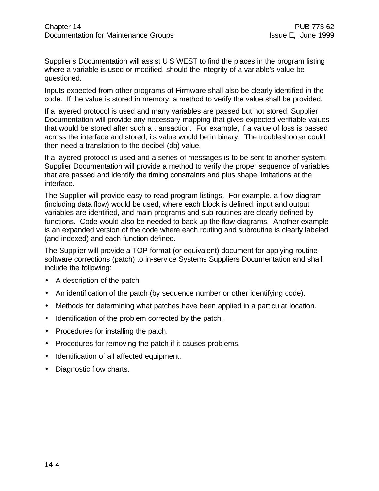Supplier's Documentation will assist U S WEST to find the places in the program listing where a variable is used or modified, should the integrity of a variable's value be questioned.

Inputs expected from other programs of Firmware shall also be clearly identified in the code. If the value is stored in memory, a method to verify the value shall be provided.

If a layered protocol is used and many variables are passed but not stored, Supplier Documentation will provide any necessary mapping that gives expected verifiable values that would be stored after such a transaction. For example, if a value of loss is passed across the interface and stored, its value would be in binary. The troubleshooter could then need a translation to the decibel (db) value.

If a layered protocol is used and a series of messages is to be sent to another system, Supplier Documentation will provide a method to verify the proper sequence of variables that are passed and identify the timing constraints and plus shape limitations at the interface.

The Supplier will provide easy-to-read program listings. For example, a flow diagram (including data flow) would be used, where each block is defined, input and output variables are identified, and main programs and sub-routines are clearly defined by functions. Code would also be needed to back up the flow diagrams. Another example is an expanded version of the code where each routing and subroutine is clearly labeled (and indexed) and each function defined.

The Supplier will provide a TOP-format (or equivalent) document for applying routine software corrections (patch) to in-service Systems Suppliers Documentation and shall include the following:

- A description of the patch
- An identification of the patch (by sequence number or other identifying code).
- Methods for determining what patches have been applied in a particular location.
- Identification of the problem corrected by the patch.
- Procedures for installing the patch.
- Procedures for removing the patch if it causes problems.
- Identification of all affected equipment.
- Diagnostic flow charts.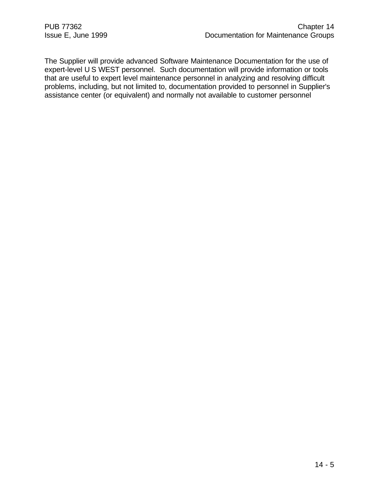The Supplier will provide advanced Software Maintenance Documentation for the use of expert-level U S WEST personnel. Such documentation will provide information or tools that are useful to expert level maintenance personnel in analyzing and resolving difficult problems, including, but not limited to, documentation provided to personnel in Supplier's assistance center (or equivalent) and normally not available to customer personnel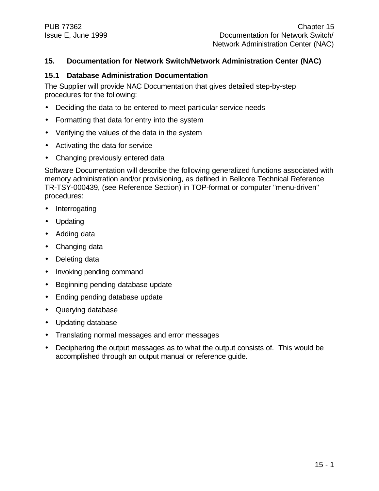#### **15. Documentation for Network Switch/Network Administration Center (NAC)**

#### **15.1 Database Administration Documentation**

The Supplier will provide NAC Documentation that gives detailed step-by-step procedures for the following:

- Deciding the data to be entered to meet particular service needs
- Formatting that data for entry into the system
- Verifying the values of the data in the system
- Activating the data for service
- Changing previously entered data

Software Documentation will describe the following generalized functions associated with memory administration and/or provisioning, as defined in Bellcore Technical Reference TR-TSY-000439, (see Reference Section) in TOP-format or computer "menu-driven" procedures:

- **Interrogating**
- Updating
- Adding data
- Changing data
- Deleting data
- Invoking pending command
- Beginning pending database update
- Ending pending database update
- Querying database
- Updating database
- Translating normal messages and error messages
- Deciphering the output messages as to what the output consists of. This would be accomplished through an output manual or reference guide.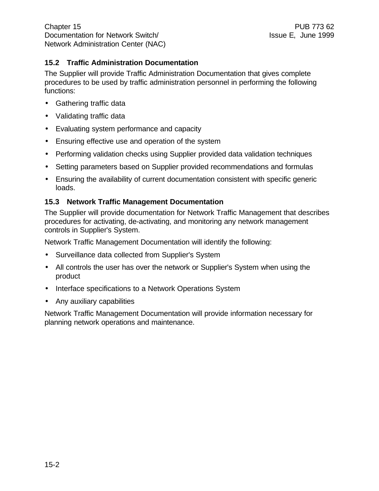#### **15.2 Traffic Administration Documentation**

The Supplier will provide Traffic Administration Documentation that gives complete procedures to be used by traffic administration personnel in performing the following functions:

- Gathering traffic data
- Validating traffic data
- Evaluating system performance and capacity
- Ensuring effective use and operation of the system
- Performing validation checks using Supplier provided data validation techniques
- Setting parameters based on Supplier provided recommendations and formulas
- Ensuring the availability of current documentation consistent with specific generic loads.

#### **15.3 Network Traffic Management Documentation**

The Supplier will provide documentation for Network Traffic Management that describes procedures for activating, de-activating, and monitoring any network management controls in Supplier's System.

Network Traffic Management Documentation will identify the following:

- Surveillance data collected from Supplier's System
- All controls the user has over the network or Supplier's System when using the product
- Interface specifications to a Network Operations System
- Any auxiliary capabilities

Network Traffic Management Documentation will provide information necessary for planning network operations and maintenance.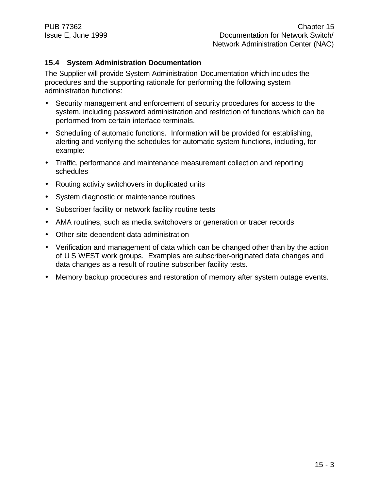#### **15.4 System Administration Documentation**

The Supplier will provide System Administration Documentation which includes the procedures and the supporting rationale for performing the following system administration functions:

- Security management and enforcement of security procedures for access to the system, including password administration and restriction of functions which can be performed from certain interface terminals.
- Scheduling of automatic functions. Information will be provided for establishing, alerting and verifying the schedules for automatic system functions, including, for example:
- Traffic, performance and maintenance measurement collection and reporting schedules
- Routing activity switchovers in duplicated units
- System diagnostic or maintenance routines
- Subscriber facility or network facility routine tests
- AMA routines, such as media switchovers or generation or tracer records
- Other site-dependent data administration
- Verification and management of data which can be changed other than by the action of U S WEST work groups. Examples are subscriber-originated data changes and data changes as a result of routine subscriber facility tests.
- Memory backup procedures and restoration of memory after system outage events.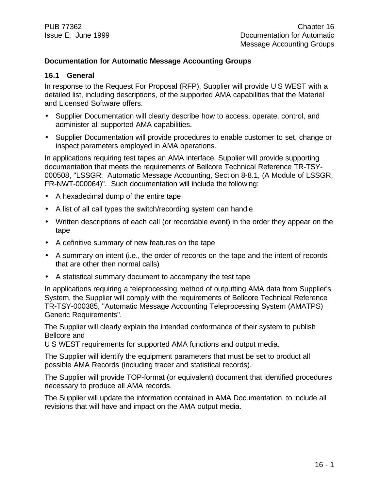#### **Documentation for Automatic Message Accounting Groups**

#### **16.1 General**

In response to the Request For Proposal (RFP), Supplier will provide U S WEST with a detailed list, including descriptions, of the supported AMA capabilities that the Materiel and Licensed Software offers.

- Supplier Documentation will clearly describe how to access, operate, control, and administer all supported AMA capabilities.
- Supplier Documentation will provide procedures to enable customer to set, change or inspect parameters employed in AMA operations.

In applications requiring test tapes an AMA interface, Supplier will provide supporting documentation that meets the requirements of Bellcore Technical Reference TR-TSY-000508, "LSSGR: Automatic Message Accounting, Section 8-8.1, (A Module of LSSGR, FR-NWT-000064)". Such documentation will include the following:

- A hexadecimal dump of the entire tape
- A list of all call types the switch/recording system can handle
- Written descriptions of each call (or recordable event) in the order they appear on the tape
- A definitive summary of new features on the tape
- A summary on intent (i.e., the order of records on the tape and the intent of records that are other then normal calls)
- A statistical summary document to accompany the test tape

In applications requiring a teleprocessing method of outputting AMA data from Supplier's System, the Supplier will comply with the requirements of Bellcore Technical Reference TR-TSY-000385, "Automatic Message Accounting Teleprocessing System (AMATPS) Generic Requirements".

The Supplier will clearly explain the intended conformance of their system to publish Bellcore and

U S WEST requirements for supported AMA functions and output media.

The Supplier will identify the equipment parameters that must be set to product all possible AMA Records (including tracer and statistical records).

The Supplier will provide TOP-format (or equivalent) document that identified procedures necessary to produce all AMA records.

The Supplier will update the information contained in AMA Documentation, to include all revisions that will have and impact on the AMA output media.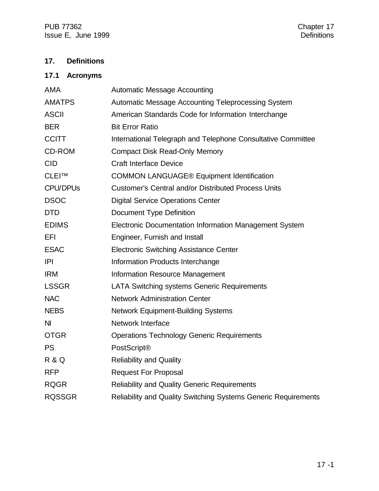PUB 77362<br>
Issue E, June 1999 Issue E, June 1999

#### **17. Definitions**

#### **17.1 Acronyms**

| <b>AMA</b>       | <b>Automatic Message Accounting</b>                            |
|------------------|----------------------------------------------------------------|
| <b>AMATPS</b>    | Automatic Message Accounting Teleprocessing System             |
| <b>ASCII</b>     | American Standards Code for Information Interchange            |
| <b>BER</b>       | <b>Bit Error Ratio</b>                                         |
| <b>CCITT</b>     | International Telegraph and Telephone Consultative Committee   |
| CD-ROM           | <b>Compact Disk Read-Only Memory</b>                           |
| <b>CID</b>       | <b>Craft Interface Device</b>                                  |
| CLEI™            | <b>COMMON LANGUAGE® Equipment Identification</b>               |
| <b>CPU/DPUs</b>  | <b>Customer's Central and/or Distributed Process Units</b>     |
| <b>DSOC</b>      | <b>Digital Service Operations Center</b>                       |
| <b>DTD</b>       | <b>Document Type Definition</b>                                |
| <b>EDIMS</b>     | Electronic Documentation Information Management System         |
| EFI              | Engineer, Furnish and Install                                  |
| <b>ESAC</b>      | <b>Electronic Switching Assistance Center</b>                  |
| P                | Information Products Interchange                               |
| <b>IRM</b>       | <b>Information Resource Management</b>                         |
| <b>LSSGR</b>     | <b>LATA Switching systems Generic Requirements</b>             |
| <b>NAC</b>       | <b>Network Administration Center</b>                           |
| <b>NEBS</b>      | <b>Network Equipment-Building Systems</b>                      |
| N <sub>l</sub>   | <b>Network Interface</b>                                       |
| <b>OTGR</b>      | <b>Operations Technology Generic Requirements</b>              |
| <b>PS</b>        | PostScript®                                                    |
| <b>R &amp; Q</b> | <b>Reliability and Quality</b>                                 |
| <b>RFP</b>       | <b>Request For Proposal</b>                                    |
| <b>RQGR</b>      | <b>Reliability and Quality Generic Requirements</b>            |
| <b>RQSSGR</b>    | Reliability and Quality Switching Systems Generic Requirements |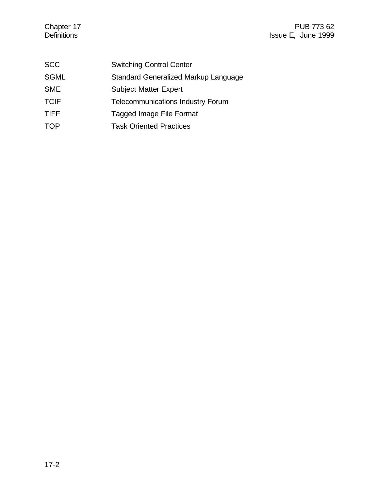| <b>SCC</b>  | <b>Switching Control Center</b>          |
|-------------|------------------------------------------|
| <b>SGML</b> | Standard Generalized Markup Language     |
| <b>SME</b>  | <b>Subject Matter Expert</b>             |
| <b>TCIF</b> | <b>Telecommunications Industry Forum</b> |
| <b>TIFF</b> | Tagged Image File Format                 |
| TOP         | <b>Task Oriented Practices</b>           |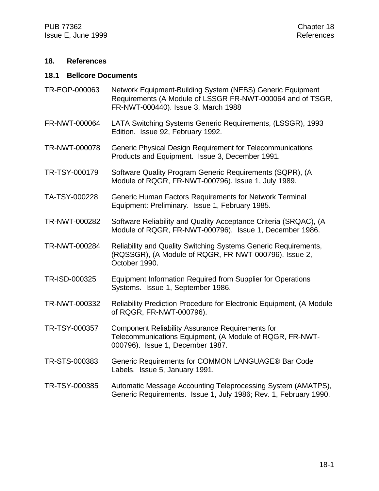#### **18. References**

#### **18.1 Bellcore Documents**

- TR-EOP-000063 Network Equipment-Building System (NEBS) Generic Equipment Requirements (A Module of LSSGR FR-NWT-000064 and of TSGR, FR-NWT-000440). Issue 3, March 1988
- FR-NWT-000064 LATA Switching Systems Generic Requirements, (LSSGR), 1993 Edition. Issue 92, February 1992.
- TR-NWT-000078 Generic Physical Design Requirement for Telecommunications Products and Equipment. Issue 3, December 1991.
- TR-TSY-000179 Software Quality Program Generic Requirements (SQPR), (A Module of RQGR, FR-NWT-000796). Issue 1, July 1989.
- TA-TSY-000228 Generic Human Factors Requirements for Network Terminal Equipment: Preliminary. Issue 1, February 1985.
- TR-NWT-000282 Software Reliability and Quality Acceptance Criteria (SRQAC), (A Module of RQGR, FR-NWT-000796). Issue 1, December 1986.
- TR-NWT-000284 Reliability and Quality Switching Systems Generic Requirements, (RQSSGR), (A Module of RQGR, FR-NWT-000796). Issue 2, October 1990.
- TR-ISD-000325 Equipment Information Required from Supplier for Operations Systems. Issue 1, September 1986.
- TR-NWT-000332 Reliability Prediction Procedure for Electronic Equipment, (A Module of RQGR, FR-NWT-000796).
- TR-TSY-000357 Component Reliability Assurance Requirements for Telecommunications Equipment, (A Module of RQGR, FR-NWT-000796). Issue 1, December 1987.
- TR-STS-000383 Generic Requirements for COMMON LANGUAGE® Bar Code Labels. Issue 5, January 1991.
- TR-TSY-000385 Automatic Message Accounting Teleprocessing System (AMATPS), Generic Requirements. Issue 1, July 1986; Rev. 1, February 1990.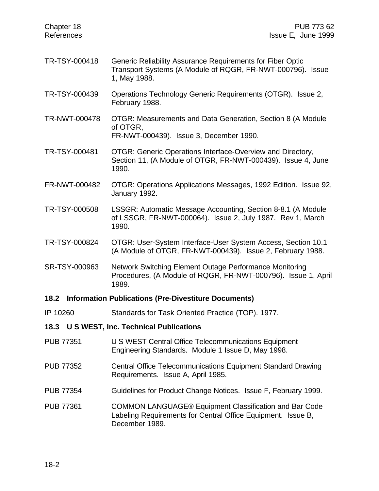| Chapter 18<br>References                      | PUB 773 62<br>Issue E, June 1999                                                                                                                |  |
|-----------------------------------------------|-------------------------------------------------------------------------------------------------------------------------------------------------|--|
| TR-TSY-000418                                 | Generic Reliability Assurance Requirements for Fiber Optic<br>Transport Systems (A Module of RQGR, FR-NWT-000796). Issue<br>1, May 1988.        |  |
| TR-TSY-000439                                 | Operations Technology Generic Requirements (OTGR). Issue 2,<br>February 1988.                                                                   |  |
| TR-NWT-000478                                 | OTGR: Measurements and Data Generation, Section 8 (A Module<br>of OTGR,<br>FR-NWT-000439). Issue 3, December 1990.                              |  |
| TR-TSY-000481                                 | OTGR: Generic Operations Interface-Overview and Directory,<br>Section 11, (A Module of OTGR, FR-NWT-000439). Issue 4, June<br>1990.             |  |
| FR-NWT-000482                                 | OTGR: Operations Applications Messages, 1992 Edition. Issue 92,<br>January 1992.                                                                |  |
| TR-TSY-000508                                 | LSSGR: Automatic Message Accounting, Section 8-8.1 (A Module<br>of LSSGR, FR-NWT-000064). Issue 2, July 1987. Rev 1, March<br>1990.             |  |
| TR-TSY-000824                                 | OTGR: User-System Interface-User System Access, Section 10.1<br>(A Module of OTGR, FR-NWT-000439). Issue 2, February 1988.                      |  |
| SR-TSY-000963                                 | Network Switching Element Outage Performance Monitoring<br>Procedures, (A Module of RQGR, FR-NWT-000796). Issue 1, April<br>1989.               |  |
| 18.2                                          | <b>Information Publications (Pre-Divestiture Documents)</b>                                                                                     |  |
| IP 10260                                      | Standards for Task Oriented Practice (TOP). 1977.                                                                                               |  |
| U S WEST, Inc. Technical Publications<br>18.3 |                                                                                                                                                 |  |
| <b>PUB 77351</b>                              | U S WEST Central Office Telecommunications Equipment<br>Engineering Standards. Module 1 Issue D, May 1998.                                      |  |
| <b>PUB 77352</b>                              | <b>Central Office Telecommunications Equipment Standard Drawing</b><br>Requirements. Issue A, April 1985.                                       |  |
| <b>PUB 77354</b>                              | Guidelines for Product Change Notices. Issue F, February 1999.                                                                                  |  |
| <b>PUB 77361</b>                              | <b>COMMON LANGUAGE® Equipment Classification and Bar Code</b><br>Labeling Requirements for Central Office Equipment. Issue B,<br>December 1989. |  |